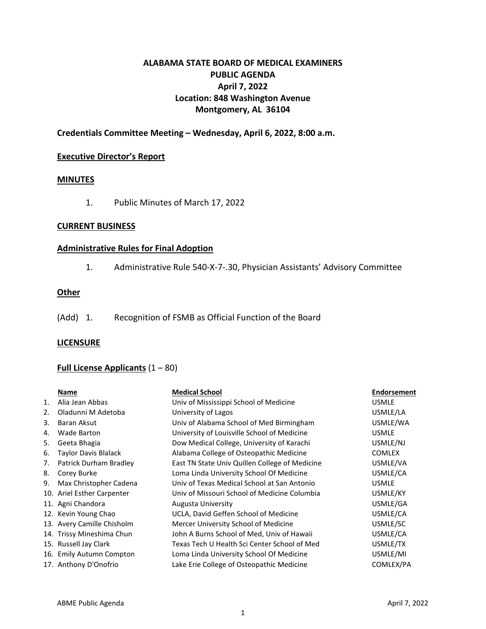## **ALABAMA STATE BOARD OF MEDICAL EXAMINERS PUBLIC AGENDA April 7, 2022 Location: 848 Washington Avenue Montgomery, AL 36104**

## **Credentials Committee Meeting – Wednesday, April 6, 2022, 8:00 a.m.**

#### **Executive Director's Report**

### **MINUTES**

1. Public Minutes of March 17, 2022

### **CURRENT BUSINESS**

### **Administrative Rules for Final Adoption**

1. Administrative Rule 540-X-7-.30, Physician Assistants' Advisory Committee

### **Other**

(Add) 1. Recognition of FSMB as Official Function of the Board

### **LICENSURE**

## **Full License Applicants** (1 – 80)

|    | Name                       | <b>Medical School</b>                          | <b>Endorsement</b> |
|----|----------------------------|------------------------------------------------|--------------------|
| 1. | Alia Jean Abbas            | Univ of Mississippi School of Medicine         | <b>USMLE</b>       |
| 2. | Oladunni M Adetoba         | University of Lagos                            | USMLE/LA           |
| 3. | Baran Aksut                | Univ of Alabama School of Med Birmingham       | USMLE/WA           |
| 4. | Wade Barton                | University of Louisville School of Medicine    | <b>USMLE</b>       |
| 5. | Geeta Bhagia               | Dow Medical College, University of Karachi     | USMLE/NJ           |
| 6. | Taylor Davis Blalack       | Alabama College of Osteopathic Medicine        | <b>COMLEX</b>      |
| 7. | Patrick Durham Bradley     | East TN State Univ Quillen College of Medicine | USMLE/VA           |
| 8. | Corey Burke                | Loma Linda University School Of Medicine       | USMLE/CA           |
| 9. | Max Christopher Cadena     | Univ of Texas Medical School at San Antonio    | <b>USMLE</b>       |
|    | 10. Ariel Esther Carpenter | Univ of Missouri School of Medicine Columbia   | USMLE/KY           |
|    | 11. Agni Chandora          | Augusta University                             | USMLE/GA           |
|    | 12. Kevin Young Chao       | UCLA, David Geffen School of Medicine          | USMLE/CA           |
|    | 13. Avery Camille Chisholm | Mercer University School of Medicine           | USMLE/SC           |
|    | 14. Trissy Mineshima Chun  | John A Burns School of Med, Univ of Hawaii     | USMLE/CA           |
|    | 15. Russell Jay Clark      | Texas Tech U Health Sci Center School of Med   | USMLE/TX           |
|    | 16. Emily Autumn Compton   | Loma Linda University School Of Medicine       | USMLE/MI           |
|    | 17. Anthony D'Onofrio      | Lake Erie College of Osteopathic Medicine      | COMLEX/PA          |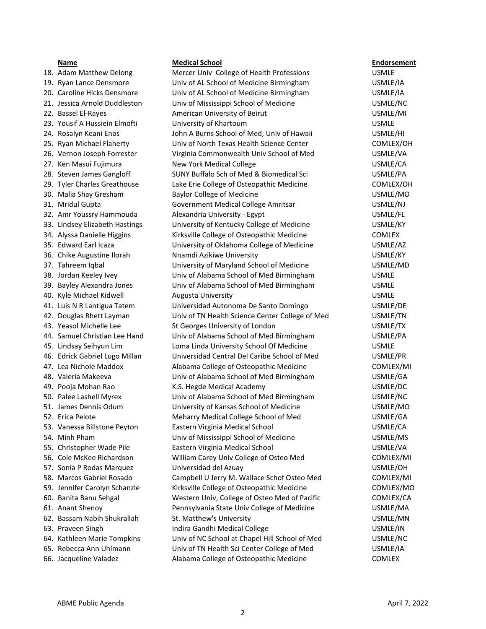- 
- 
- 
- 
- 
- 
- 
- 
- 
- 
- 
- 
- 
- 
- 
- 
- 
- 
- 
- 
- 
- 
- 
- 
- 
- 
- 
- 
- 
- 
- 
- 
- 
- 
- 
- 
- 
- 
- 
- 
- 
- 
- 
- 
- 
- 
- 
- 
- 

#### **Name Medical School Endorsement**

18. Adam Matthew Delong Mercer Univ College of Health Professions USMLE 19. Ryan Lance Densmore Univ of AL School of Medicine Birmingham USMLE/IA 20. Caroline Hicks Densmore Univ of AL School of Medicine Birmingham USMLE/IA 21. Jessica Arnold Duddleston Univ of Mississippi School of Medicine USMLE/NC 22. Bassel El-Rayes **American University of Beirut** American University of Beirut American USMLE/MI 23. Yousif A Hussiein Elmofti Christens University of Khartoum Christens Communisty Christens USMLE 24. Rosalyn Keani Enos John A Burns School of Med, Univ of Hawaii USMLE/HI 25. Ryan Michael Flaherty **Univ of North Texas Health Science Center** COMLEX/OH 26. Vernon Joseph Forrester Virginia Commonwealth Univ School of Med USMLE/VA 27. Ken Masui Fujimura New York Medical College USMLE/CA 28. Steven James Gangloff SUNY Buffalo Sch of Med & Biomedical Sci SUSMLE/PA 29. Tyler Charles Greathouse Lake Erie College of Osteopathic Medicine COMLEX/OH 30. Malia Shay Gresham Baylor College of Medicine New York Number 2008 Number 2016 31. Mridul Gupta Government Medical College Amritsar USMLE/NJ 32. Amr Youssry Hammouda and Alexandria University - Egypt Camera Alexandria University - Egypt 33. Lindsey Elizabeth Hastings University of Kentucky College of Medicine USMLE/KY 34. Alyssa Danielle Higgins Kirksville College of Osteopathic Medicine COMLEX 35. Edward Earl Icaza University of Oklahoma College of Medicine USMLE/AZ 36. Chike Augustine Ilorah Nnamdi Azikiwe University USMLE/KY 37. Tahreem Iqbal University of Maryland School of Medicine USMLE/MD 38. Jordan Keeley Ivey Univ of Alabama School of Med Birmingham USMLE 39. Bayley Alexandra Jones Univ of Alabama School of Med Birmingham USMLE 40. Kyle Michael Kidwell **Augusta University** Chronic Chronic USMLE 41. Luis N R Lantigua Tatem Universidad Autonoma De Santo Domingo USMLE/DE 42. Douglas Rhett Layman Univ of TN Health Science Center College of Med USMLE/TN 43. Yeasol Michelle Lee St Georges University of London USMLE/TX 44. Samuel Christian Lee Hand Univ of Alabama School of Med Birmingham USMLE/PA 45. Lindsay Seihyun Lim Loma Linda University School Of Medicine USMLE 46. Edrick Gabriel Lugo Millan Universidad Central Del Caribe School of Med USMLE/PR 47. Lea Nichole Maddox **Alabama College of Osteopathic Medicine** COMLEX/MI 48. Valeria Makeeva Univ of Alabama School of Med Birmingham USMLE/GA 49. Pooja Mohan Rao K.S. Hegde Medical Academy USMLE/DC 50. Palee Lashell Myrex Univ of Alabama School of Med Birmingham USMLE/NC 51. James Dennis Odum University of Kansas School of Medicine USMLE/MO 52. Erica Pelote **Meharry Medical College School of Med** USMLE/GA 53. Vanessa Billstone Peyton Eastern Virginia Medical School USMLE/CA 54. Minh Pham Univ of Mississippi School of Medicine USMLE/MS 55. Christopher Wade Pile Eastern Virginia Medical School USMLE/VA 56. Cole McKee Richardson William Carey Univ College of Osteo Med COMLEX/MI 57. Sonia P Rodas Marquez Universidad del Azuay USMLE/OH 58. Marcos Gabriel Rosado Campbell U Jerry M. Wallace Schof Osteo Med COMLEX/MI 59. Jennifer Carolyn Schanzle Kirksville College of Osteopathic Medicine COMLEX/MO 60. Banita Banu Sehgal Western Univ, College of Osteo Med of Pacific COMLEX/CA 61. Anant Shenoy Pennsylvania State Univ College of Medicine USMLE/MA 62. Bassam Nabih Shukrallah St. Matthew's University St. Matthew's University St. Matthew's USMLE/MN 63. Praveen Singh The Indira Gandhi Medical College The Theorem Communication of the USMLE/IN 64. Kathleen Marie Tompkins Univ of NC School at Chapel Hill School of Med USMLE/NC 65. Rebecca Ann Uhlmann Univ of TN Health Sci Center College of Med USMLE/IA 66. Jacqueline Valadez Alabama College of Osteopathic Medicine COMLEX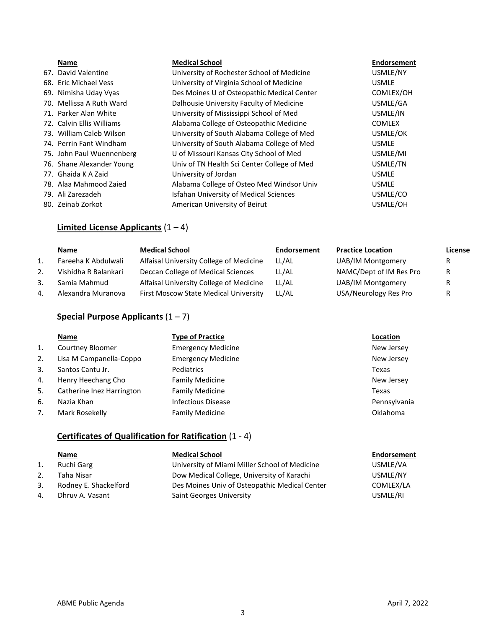#### **Name Medical School Endorsement**

| 67. David Valentine       | University of Rochester School of Medicine    | USMLE/NY      |
|---------------------------|-----------------------------------------------|---------------|
| 68. Eric Michael Vess     | University of Virginia School of Medicine     | <b>USMLE</b>  |
| 69. Nimisha Uday Vyas     | Des Moines U of Osteopathic Medical Center    | COMLEX/OH     |
| 70. Mellissa A Ruth Ward  | Dalhousie University Faculty of Medicine      | USMLE/GA      |
| 71. Parker Alan White     | University of Mississippi School of Med       | USMLE/IN      |
| 72. Calvin Ellis Williams | Alabama College of Osteopathic Medicine       | <b>COMLEX</b> |
| 73. William Caleb Wilson  | University of South Alabama College of Med    | USMLE/OK      |
| 74. Perrin Fant Windham   | University of South Alabama College of Med    | <b>USMLE</b>  |
| 75. John Paul Wuennenberg | U of Missouri Kansas City School of Med       | USMLE/MI      |
| 76. Shane Alexander Young | Univ of TN Health Sci Center College of Med   | USMLE/TN      |
| 77. Ghaida K A Zaid       | University of Jordan                          | <b>USMLE</b>  |
| 78. Alaa Mahmood Zaied    | Alabama College of Osteo Med Windsor Univ     | <b>USMLE</b>  |
| 79. Ali Zarezadeh         | <b>Isfahan University of Medical Sciences</b> | USMLE/CO      |
| 80. Zeinab Zorkot         | American University of Beirut                 | USMLE/OH      |

## **Limited License Applicants** (1 – 4)

|              | Name                 | <b>Medical School</b>                   | Endorsement | <b>Practice Location</b> | <u>License</u> |
|--------------|----------------------|-----------------------------------------|-------------|--------------------------|----------------|
|              | Fareeha K Abdulwali  | Alfaisal University College of Medicine | LL/AL       | UAB/IM Montgomery        | R.             |
|              | Vishidha R Balankari | Deccan College of Medical Sciences      | LL/AL       | NAMC/Dept of IM Res Pro  | R              |
|              | Samia Mahmud         | Alfaisal University College of Medicine | LL/AL       | UAB/IM Montgomery        | R              |
| $\mathbf{4}$ | Alexandra Muranova   | First Moscow State Medical University   | LL/AL       | USA/Neurology Res Pro    | R              |

## **Special Purpose Applicants** (1 – 7)

|                | Name                      | <b>Type of Practice</b>   | Location     |
|----------------|---------------------------|---------------------------|--------------|
| $\mathbf{1}$ . | Courtney Bloomer          | <b>Emergency Medicine</b> | New Jersey   |
| 2.             | Lisa M Campanella-Coppo   | <b>Emergency Medicine</b> | New Jersey   |
| 3.             | Santos Cantu Jr.          | Pediatrics                | Texas        |
| 4.             | Henry Heechang Cho        | <b>Family Medicine</b>    | New Jersey   |
| 5.             | Catherine Inez Harrington | <b>Family Medicine</b>    | Texas        |
| 6.             | Nazia Khan                | <b>Infectious Disease</b> | Pennsylvania |
| 7.             | Mark Rosekelly            | <b>Family Medicine</b>    | Oklahoma     |

# **Certificates of Qualification for Ratification** (1 - 4)

- **Name Medical School Endorsement**
- 1. Ruchi Garg University of Miami Miller School of Medicine USMLE/VA 2. Taha Nisar Dow Medical College, University of Karachi USMLE/NY 3. Rodney E. Shackelford Des Moines Univ of Osteopathic Medical Center COMLEX/LA 4. Dhruv A. Vasant Saint Georges University Charles Assessment Communications of the SMLE/RI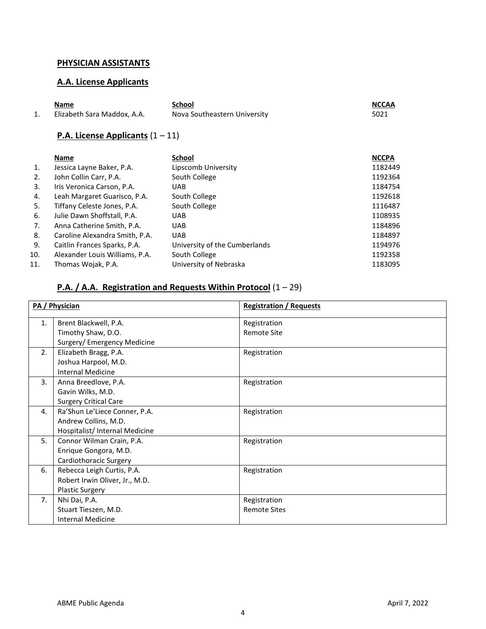## **PHYSICIAN ASSISTANTS**

## **A.A. License Applicants**

| Name                        | School                       | <b>NCCAA</b> |
|-----------------------------|------------------------------|--------------|
| Elizabeth Sara Maddox, A.A. | Nova Southeastern University | 5021         |

# **P.A. License Applicants** (1 – 11)

| <b>Name</b>                    | <b>School</b>                 | <b>NCCPA</b> |
|--------------------------------|-------------------------------|--------------|
| Jessica Layne Baker, P.A.      | Lipscomb University           | 1182449      |
| John Collin Carr, P.A.         | South College                 | 1192364      |
| Iris Veronica Carson, P.A.     | <b>UAB</b>                    | 1184754      |
| Leah Margaret Guarisco, P.A.   | South College                 | 1192618      |
| Tiffany Celeste Jones, P.A.    | South College                 | 1116487      |
| Julie Dawn Shoffstall, P.A.    | <b>UAB</b>                    | 1108935      |
| Anna Catherine Smith, P.A.     | <b>UAB</b>                    | 1184896      |
| Caroline Alexandra Smith, P.A. | <b>UAB</b>                    | 1184897      |
| Caitlin Frances Sparks, P.A.   | University of the Cumberlands | 1194976      |
| Alexander Louis Williams, P.A. | South College                 | 1192358      |
| Thomas Wojak, P.A.             | University of Nebraska        | 1183095      |
|                                |                               |              |

# **P.A. / A.A. Registration and Requests Within Protocol** (1 – 29)

|                | PA / Physician                 | <b>Registration / Requests</b> |
|----------------|--------------------------------|--------------------------------|
| $\mathbf{1}$ . | Brent Blackwell, P.A.          | Registration                   |
|                | Timothy Shaw, D.O.             | <b>Remote Site</b>             |
|                | Surgery/ Emergency Medicine    |                                |
| 2.             | Elizabeth Bragg, P.A.          | Registration                   |
|                | Joshua Harpool, M.D.           |                                |
|                | Internal Medicine              |                                |
| 3.             | Anna Breedlove, P.A.           | Registration                   |
|                | Gavin Wilks, M.D.              |                                |
|                | <b>Surgery Critical Care</b>   |                                |
| 4.             | Ra'Shun Le'Liece Conner, P.A.  | Registration                   |
|                | Andrew Collins, M.D.           |                                |
|                | Hospitalist/ Internal Medicine |                                |
| 5.             | Connor Wilman Crain, P.A.      | Registration                   |
|                | Enrique Gongora, M.D.          |                                |
|                | Cardiothoracic Surgery         |                                |
| 6.             | Rebecca Leigh Curtis, P.A.     | Registration                   |
|                | Robert Irwin Oliver, Jr., M.D. |                                |
|                | <b>Plastic Surgery</b>         |                                |
| 7 <sub>1</sub> | Nhi Dai, P.A.                  | Registration                   |
|                | Stuart Tieszen, M.D.           | <b>Remote Sites</b>            |
|                | <b>Internal Medicine</b>       |                                |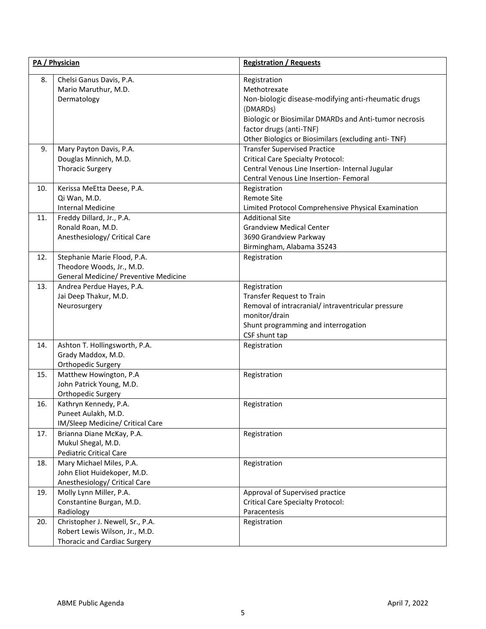| PA / Physician |                                                                                                           | <b>Registration / Requests</b>                                                                                                                                                                                                             |  |
|----------------|-----------------------------------------------------------------------------------------------------------|--------------------------------------------------------------------------------------------------------------------------------------------------------------------------------------------------------------------------------------------|--|
| 8.             | Chelsi Ganus Davis, P.A.<br>Mario Maruthur, M.D.<br>Dermatology                                           | Registration<br>Methotrexate<br>Non-biologic disease-modifying anti-rheumatic drugs<br>(DMARDs)<br>Biologic or Biosimilar DMARDs and Anti-tumor necrosis<br>factor drugs (anti-TNF)<br>Other Biologics or Biosimilars (excluding anti-TNF) |  |
| 9.             | Mary Payton Davis, P.A.<br>Douglas Minnich, M.D.<br><b>Thoracic Surgery</b>                               | <b>Transfer Supervised Practice</b><br><b>Critical Care Specialty Protocol:</b><br>Central Venous Line Insertion- Internal Jugular<br>Central Venous Line Insertion- Femoral                                                               |  |
| 10.            | Kerissa MeEtta Deese, P.A.<br>Qi Wan, M.D.<br><b>Internal Medicine</b>                                    | Registration<br><b>Remote Site</b><br>Limited Protocol Comprehensive Physical Examination                                                                                                                                                  |  |
| 11.            | Freddy Dillard, Jr., P.A.<br>Ronald Roan, M.D.<br>Anesthesiology/ Critical Care                           | <b>Additional Site</b><br><b>Grandview Medical Center</b><br>3690 Grandview Parkway<br>Birmingham, Alabama 35243                                                                                                                           |  |
| 12.            | Stephanie Marie Flood, P.A.<br>Theodore Woods, Jr., M.D.<br>General Medicine/ Preventive Medicine         | Registration                                                                                                                                                                                                                               |  |
| 13.            | Andrea Perdue Hayes, P.A.<br>Jai Deep Thakur, M.D.<br>Neurosurgery                                        | Registration<br><b>Transfer Request to Train</b><br>Removal of intracranial/intraventricular pressure<br>monitor/drain<br>Shunt programming and interrogation<br>CSF shunt tap                                                             |  |
| 14.            | Ashton T. Hollingsworth, P.A.<br>Grady Maddox, M.D.<br>Orthopedic Surgery                                 | Registration                                                                                                                                                                                                                               |  |
| 15.            | Matthew Howington, P.A<br>John Patrick Young, M.D.<br>Orthopedic Surgery                                  | Registration                                                                                                                                                                                                                               |  |
| 16.            | Kathryn Kennedy, P.A.<br>Puneet Aulakh, M.D.<br>IM/Sleep Medicine/ Critical Care                          | Registration                                                                                                                                                                                                                               |  |
| 17.            | Brianna Diane McKay, P.A.<br>Mukul Shegal, M.D.<br><b>Pediatric Critical Care</b>                         | Registration                                                                                                                                                                                                                               |  |
| 18.            | Mary Michael Miles, P.A.<br>John Eliot Huidekoper, M.D.<br>Anesthesiology/ Critical Care                  | Registration                                                                                                                                                                                                                               |  |
| 19.            | Molly Lynn Miller, P.A.<br>Constantine Burgan, M.D.<br>Radiology                                          | Approval of Supervised practice<br><b>Critical Care Specialty Protocol:</b><br>Paracentesis                                                                                                                                                |  |
| 20.            | Christopher J. Newell, Sr., P.A.<br>Robert Lewis Wilson, Jr., M.D.<br><b>Thoracic and Cardiac Surgery</b> | Registration                                                                                                                                                                                                                               |  |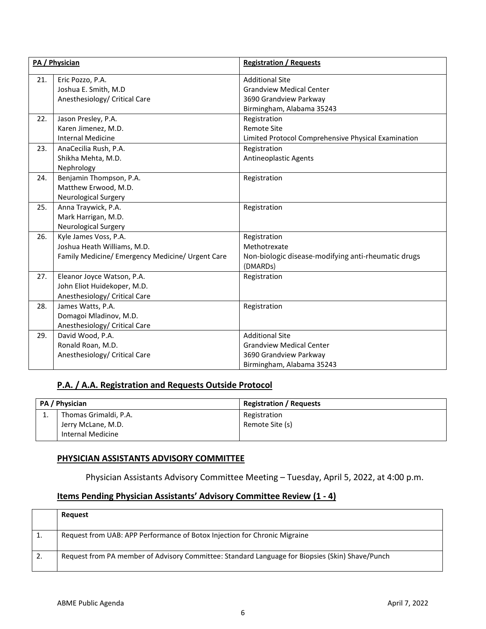|     | PA / Physician                                                                                           | <b>Registration / Requests</b>                                                                                   |
|-----|----------------------------------------------------------------------------------------------------------|------------------------------------------------------------------------------------------------------------------|
| 21. | Eric Pozzo, P.A.<br>Joshua E. Smith, M.D<br>Anesthesiology/ Critical Care                                | <b>Additional Site</b><br><b>Grandview Medical Center</b><br>3690 Grandview Parkway<br>Birmingham, Alabama 35243 |
| 22. | Jason Presley, P.A.<br>Karen Jimenez, M.D.<br><b>Internal Medicine</b>                                   | Registration<br><b>Remote Site</b><br>Limited Protocol Comprehensive Physical Examination                        |
| 23. | AnaCecilia Rush, P.A.<br>Shikha Mehta, M.D.<br>Nephrology                                                | Registration<br>Antineoplastic Agents                                                                            |
| 24. | Benjamin Thompson, P.A.<br>Matthew Erwood, M.D.<br><b>Neurological Surgery</b>                           | Registration                                                                                                     |
| 25. | Anna Traywick, P.A.<br>Mark Harrigan, M.D.<br><b>Neurological Surgery</b>                                | Registration                                                                                                     |
| 26. | Kyle James Voss, P.A.<br>Joshua Heath Williams, M.D.<br>Family Medicine/ Emergency Medicine/ Urgent Care | Registration<br>Methotrexate<br>Non-biologic disease-modifying anti-rheumatic drugs<br>(DMARDs)                  |
| 27. | Eleanor Joyce Watson, P.A.<br>John Eliot Huidekoper, M.D.<br>Anesthesiology/ Critical Care               | Registration                                                                                                     |
| 28. | James Watts, P.A.<br>Domagoi Mladinov, M.D.<br>Anesthesiology/ Critical Care                             | Registration                                                                                                     |
| 29. | David Wood, P.A.<br>Ronald Roan, M.D.<br>Anesthesiology/ Critical Care                                   | <b>Additional Site</b><br><b>Grandview Medical Center</b><br>3690 Grandview Parkway<br>Birmingham, Alabama 35243 |

# **P.A. / A.A. Registration and Requests Outside Protocol**

|          | PA / Physician        | <b>Registration / Requests</b> |
|----------|-----------------------|--------------------------------|
| <b>.</b> | Thomas Grimaldi, P.A. | Registration                   |
|          | Jerry McLane, M.D.    | Remote Site (s)                |
|          | Internal Medicine     |                                |

## **PHYSICIAN ASSISTANTS ADVISORY COMMITTEE**

Physician Assistants Advisory Committee Meeting – Tuesday, April 5, 2022, at 4:00 p.m.

## **Items Pending Physician Assistants' Advisory Committee Review (1 - 4)**

| Request                                                                                         |
|-------------------------------------------------------------------------------------------------|
| Request from UAB: APP Performance of Botox Injection for Chronic Migraine                       |
| Request from PA member of Advisory Committee: Standard Language for Biopsies (Skin) Shave/Punch |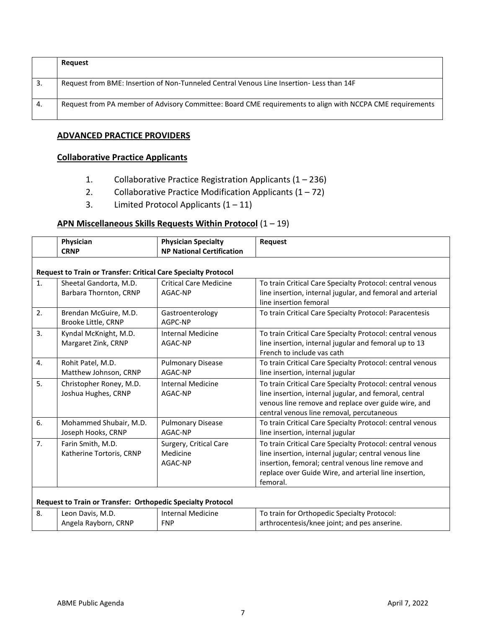|     | Request                                                                                                   |
|-----|-----------------------------------------------------------------------------------------------------------|
| -3. | Request from BME: Insertion of Non-Tunneled Central Venous Line Insertion- Less than 14F                  |
| 4.  | Request from PA member of Advisory Committee: Board CME requirements to align with NCCPA CME requirements |

## **ADVANCED PRACTICE PROVIDERS**

## **Collaborative Practice Applicants**

- 1. Collaborative Practice Registration Applicants (1 236)
- 2. Collaborative Practice Modification Applicants  $(1 72)$
- 3. Limited Protocol Applicants  $(1 11)$

## **APN Miscellaneous Skills Requests Within Protocol** (1 – 19)

|  | Physician<br><b>CRNP</b> | <b>Physician Specialty</b><br><b>NP National Certification</b> | <b>Request</b> |
|--|--------------------------|----------------------------------------------------------------|----------------|
|  |                          |                                                                |                |

|    | <b>Request to Train or Transfer: Critical Care Specialty Protocol</b> |                                               |                                                                                                                                                                                                                                               |  |  |
|----|-----------------------------------------------------------------------|-----------------------------------------------|-----------------------------------------------------------------------------------------------------------------------------------------------------------------------------------------------------------------------------------------------|--|--|
| 1. | Sheetal Gandorta, M.D.<br>Barbara Thornton, CRNP                      | <b>Critical Care Medicine</b><br>AGAC-NP      | To train Critical Care Specialty Protocol: central venous<br>line insertion, internal jugular, and femoral and arterial<br>line insertion femoral                                                                                             |  |  |
| 2. | Brendan McGuire, M.D.<br>Brooke Little, CRNP                          | Gastroenterology<br>AGPC-NP                   | To train Critical Care Specialty Protocol: Paracentesis                                                                                                                                                                                       |  |  |
| 3. | Kyndal McKnight, M.D.<br>Margaret Zink, CRNP                          | <b>Internal Medicine</b><br>AGAC-NP           | To train Critical Care Specialty Protocol: central venous<br>line insertion, internal jugular and femoral up to 13<br>French to include vas cath                                                                                              |  |  |
| 4. | Rohit Patel, M.D.<br>Matthew Johnson, CRNP                            | <b>Pulmonary Disease</b><br>AGAC-NP           | To train Critical Care Specialty Protocol: central venous<br>line insertion, internal jugular                                                                                                                                                 |  |  |
| 5. | Christopher Roney, M.D.<br>Joshua Hughes, CRNP                        | <b>Internal Medicine</b><br>AGAC-NP           | To train Critical Care Specialty Protocol: central venous<br>line insertion, internal jugular, and femoral, central<br>venous line remove and replace over guide wire, and<br>central venous line removal, percutaneous                       |  |  |
| 6. | Mohammed Shubair, M.D.<br>Joseph Hooks, CRNP                          | <b>Pulmonary Disease</b><br>AGAC-NP           | To train Critical Care Specialty Protocol: central venous<br>line insertion, internal jugular                                                                                                                                                 |  |  |
| 7. | Farin Smith, M.D.<br>Katherine Tortoris, CRNP                         | Surgery, Critical Care<br>Medicine<br>AGAC-NP | To train Critical Care Specialty Protocol: central venous<br>line insertion, internal jugular; central venous line<br>insertion, femoral; central venous line remove and<br>replace over Guide Wire, and arterial line insertion,<br>femoral. |  |  |
|    | <b>Request to Train or Transfer: Orthopedic Specialty Protocol</b>    |                                               |                                                                                                                                                                                                                                               |  |  |
| 8. | Leon Davis, M.D.<br>Angela Rayborn, CRNP                              | <b>Internal Medicine</b><br><b>FNP</b>        | To train for Orthopedic Specialty Protocol:<br>arthrocentesis/knee joint; and pes anserine.                                                                                                                                                   |  |  |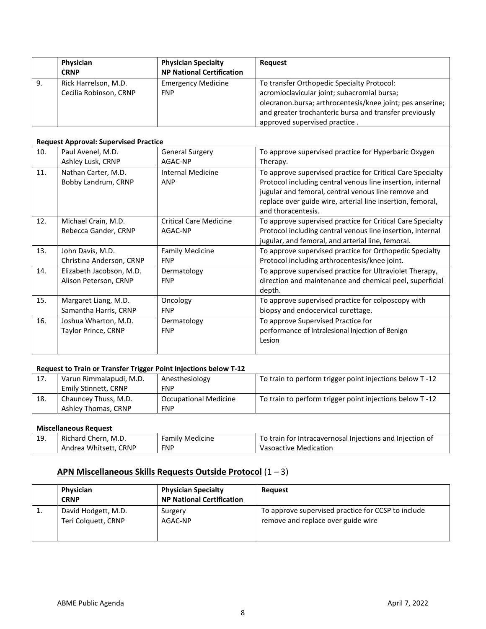|     | Physician<br><b>CRNP</b>                                         | <b>Physician Specialty</b><br><b>NP National Certification</b> | Request                                                                                                                                                                                                                                                             |
|-----|------------------------------------------------------------------|----------------------------------------------------------------|---------------------------------------------------------------------------------------------------------------------------------------------------------------------------------------------------------------------------------------------------------------------|
| 9.  | Rick Harrelson, M.D.<br>Cecilia Robinson, CRNP                   | <b>Emergency Medicine</b><br><b>FNP</b>                        | To transfer Orthopedic Specialty Protocol:<br>acromioclavicular joint; subacromial bursa;<br>olecranon.bursa; arthrocentesis/knee joint; pes anserine;<br>and greater trochanteric bursa and transfer previously<br>approved supervised practice.                   |
|     | <b>Request Approval: Supervised Practice</b>                     |                                                                |                                                                                                                                                                                                                                                                     |
| 10. | Paul Avenel, M.D.                                                | <b>General Surgery</b>                                         | To approve supervised practice for Hyperbaric Oxygen                                                                                                                                                                                                                |
|     | Ashley Lusk, CRNP                                                | AGAC-NP                                                        | Therapy.                                                                                                                                                                                                                                                            |
| 11. | Nathan Carter, M.D.<br>Bobby Landrum, CRNP                       | <b>Internal Medicine</b><br><b>ANP</b>                         | To approve supervised practice for Critical Care Specialty<br>Protocol including central venous line insertion, internal<br>jugular and femoral, central venous line remove and<br>replace over guide wire, arterial line insertion, femoral,<br>and thoracentesis. |
| 12. | Michael Crain, M.D.<br>Rebecca Gander, CRNP                      | <b>Critical Care Medicine</b><br>AGAC-NP                       | To approve supervised practice for Critical Care Specialty<br>Protocol including central venous line insertion, internal<br>jugular, and femoral, and arterial line, femoral.                                                                                       |
| 13. | John Davis, M.D.<br>Christina Anderson, CRNP                     | <b>Family Medicine</b><br><b>FNP</b>                           | To approve supervised practice for Orthopedic Specialty<br>Protocol including arthrocentesis/knee joint.                                                                                                                                                            |
| 14. | Elizabeth Jacobson, M.D.<br>Alison Peterson, CRNP                | Dermatology<br><b>FNP</b>                                      | To approve supervised practice for Ultraviolet Therapy,<br>direction and maintenance and chemical peel, superficial<br>depth.                                                                                                                                       |
| 15. | Margaret Liang, M.D.<br>Samantha Harris, CRNP                    | Oncology<br><b>FNP</b>                                         | To approve supervised practice for colposcopy with<br>biopsy and endocervical curettage.                                                                                                                                                                            |
| 16. | Joshua Wharton, M.D.<br>Taylor Prince, CRNP                      | Dermatology<br><b>FNP</b>                                      | To approve Supervised Practice for<br>performance of Intralesional Injection of Benign<br>Lesion                                                                                                                                                                    |
|     | Request to Train or Transfer Trigger Point Injections below T-12 |                                                                |                                                                                                                                                                                                                                                                     |
| 17. | Varun Rimmalapudi, M.D.<br>Emily Stinnett, CRNP                  | Anesthesiology<br><b>FNP</b>                                   | To train to perform trigger point injections below T-12                                                                                                                                                                                                             |
| 18. | Chauncey Thuss, M.D.<br>Ashley Thomas, CRNP                      | <b>Occupational Medicine</b><br><b>FNP</b>                     | To train to perform trigger point injections below T-12                                                                                                                                                                                                             |
|     | <b>Miscellaneous Request</b>                                     |                                                                |                                                                                                                                                                                                                                                                     |
| 19. | Richard Chern, M.D.<br>Andrea Whitsett, CRNP                     | <b>Family Medicine</b><br><b>FNP</b>                           | To train for Intracavernosal Injections and Injection of<br><b>Vasoactive Medication</b>                                                                                                                                                                            |

# **APN Miscellaneous Skills Requests Outside Protocol** (1 – 3)

|    | Physician<br><b>CRNP</b>                   | <b>Physician Specialty</b><br><b>NP National Certification</b> | Request                                                                                  |
|----|--------------------------------------------|----------------------------------------------------------------|------------------------------------------------------------------------------------------|
| л. | David Hodgett, M.D.<br>Teri Colquett, CRNP | Surgery<br>AGAC-NP                                             | To approve supervised practice for CCSP to include<br>remove and replace over guide wire |
|    |                                            |                                                                |                                                                                          |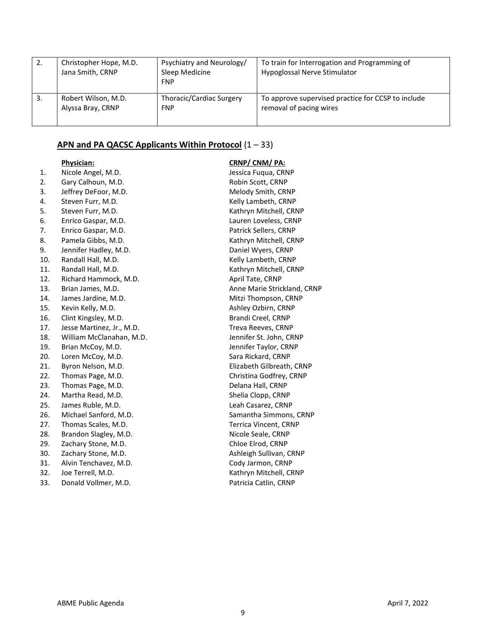| 2.  | Christopher Hope, M.D.<br>Jana Smith, CRNP | Psychiatry and Neurology/<br>Sleep Medicine<br><b>FNP</b> | To train for Interrogation and Programming of<br>Hypoglossal Nerve Stimulator |
|-----|--------------------------------------------|-----------------------------------------------------------|-------------------------------------------------------------------------------|
| -3. | Robert Wilson, M.D.                        | Thoracic/Cardiac Surgery                                  | To approve supervised practice for CCSP to include                            |
|     | Alyssa Bray, CRNP                          | <b>FNP</b>                                                | removal of pacing wires                                                       |

# **APN and PA QACSC Applicants Within Protocol** (1 – 33)

|     | <b>Physician:</b>         | CRNP/CNM/PA:                 |
|-----|---------------------------|------------------------------|
| 1.  | Nicole Angel, M.D.        | Jessica Fugua, CRNP          |
| 2.  | Gary Calhoun, M.D.        | Robin Scott, CRNP            |
| 3.  | Jeffrey DeFoor, M.D.      | Melody Smith, CRNP           |
| 4.  | Steven Furr, M.D.         | Kelly Lambeth, CRNP          |
| 5.  | Steven Furr, M.D.         | Kathryn Mitchell, CRNP       |
| 6.  | Enrico Gaspar, M.D.       | Lauren Loveless, CRNP        |
| 7.  | Enrico Gaspar, M.D.       | Patrick Sellers, CRNP        |
| 8.  | Pamela Gibbs, M.D.        | Kathryn Mitchell, CRNP       |
| 9.  | Jennifer Hadley, M.D.     | Daniel Wyers, CRNP           |
| 10. | Randall Hall, M.D.        | Kelly Lambeth, CRNP          |
| 11. | Randall Hall, M.D.        | Kathryn Mitchell, CRNP       |
| 12. | Richard Hammock, M.D.     | April Tate, CRNP             |
| 13. | Brian James, M.D.         | Anne Marie Strickland, CRNP  |
| 14. | James Jardine, M.D.       | Mitzi Thompson, CRNP         |
| 15. | Kevin Kelly, M.D.         | Ashley Ozbirn, CRNP          |
| 16. | Clint Kingsley, M.D.      | Brandi Creel, CRNP           |
| 17. | Jesse Martinez, Jr., M.D. | Treva Reeves, CRNP           |
| 18. | William McClanahan, M.D.  | Jennifer St. John, CRNP      |
| 19. | Brian McCoy, M.D.         | Jennifer Taylor, CRNP        |
| 20. | Loren McCoy, M.D.         | Sara Rickard, CRNP           |
| 21. | Byron Nelson, M.D.        | Elizabeth Gilbreath, CRNP    |
| 22. | Thomas Page, M.D.         | Christina Godfrey, CRNP      |
| 23. | Thomas Page, M.D.         | Delana Hall, CRNP            |
| 24. | Martha Read, M.D.         | Shelia Clopp, CRNP           |
| 25. | James Ruble, M.D.         | Leah Casarez, CRNP           |
| 26. | Michael Sanford, M.D.     | Samantha Simmons, CRNP       |
| 27. | Thomas Scales, M.D.       | <b>Terrica Vincent, CRNP</b> |
| 28. | Brandon Slagley, M.D.     | Nicole Seale, CRNP           |
| 29. | Zachary Stone, M.D.       | Chloe Elrod, CRNP            |
| 30. | Zachary Stone, M.D.       | Ashleigh Sullivan, CRNP      |
| 31. | Alvin Tenchavez, M.D.     | Cody Jarmon, CRNP            |
| 32. | Joe Terrell, M.D.         | Kathryn Mitchell, CRNP       |

33. Donald Vollmer, M.D. **Patricia Catlin**, CRNP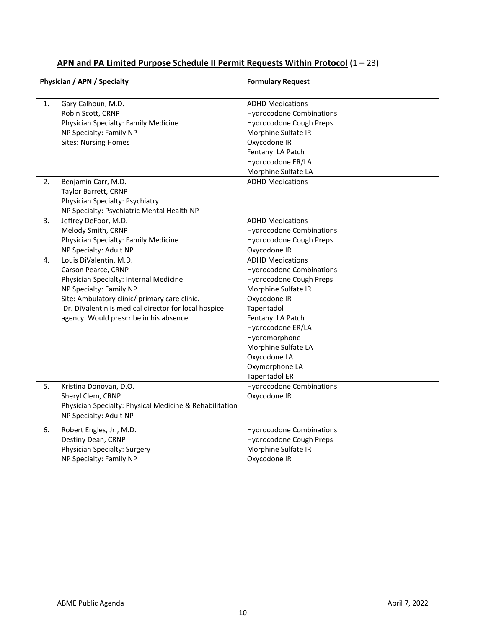| Physician / APN / Specialty<br><b>Formulary Request</b><br>Gary Calhoun, M.D.<br><b>ADHD Medications</b><br>1.<br>Robin Scott, CRNP<br><b>Hydrocodone Combinations</b> |
|------------------------------------------------------------------------------------------------------------------------------------------------------------------------|
|                                                                                                                                                                        |
|                                                                                                                                                                        |
|                                                                                                                                                                        |
|                                                                                                                                                                        |
| Physician Specialty: Family Medicine<br>Hydrocodone Cough Preps                                                                                                        |
| NP Specialty: Family NP<br>Morphine Sulfate IR                                                                                                                         |
| <b>Sites: Nursing Homes</b><br>Oxycodone IR                                                                                                                            |
| Fentanyl LA Patch                                                                                                                                                      |
| Hydrocodone ER/LA                                                                                                                                                      |
| Morphine Sulfate LA                                                                                                                                                    |
| <b>ADHD Medications</b><br>2.<br>Benjamin Carr, M.D.                                                                                                                   |
| Taylor Barrett, CRNP                                                                                                                                                   |
| Physician Specialty: Psychiatry                                                                                                                                        |
| NP Specialty: Psychiatric Mental Health NP                                                                                                                             |
| Jeffrey DeFoor, M.D.<br>3.<br><b>ADHD Medications</b>                                                                                                                  |
| Melody Smith, CRNP<br><b>Hydrocodone Combinations</b>                                                                                                                  |
| Physician Specialty: Family Medicine<br>Hydrocodone Cough Preps                                                                                                        |
| Oxycodone IR<br>NP Specialty: Adult NP                                                                                                                                 |
| Louis DiValentin, M.D.<br><b>ADHD Medications</b><br>4.                                                                                                                |
| Carson Pearce, CRNP<br><b>Hydrocodone Combinations</b>                                                                                                                 |
| Physician Specialty: Internal Medicine<br>Hydrocodone Cough Preps                                                                                                      |
| NP Specialty: Family NP                                                                                                                                                |
| Morphine Sulfate IR                                                                                                                                                    |
| Site: Ambulatory clinic/ primary care clinic.<br>Oxycodone IR                                                                                                          |
| Dr. DiValentin is medical director for local hospice<br>Tapentadol                                                                                                     |
| agency. Would prescribe in his absence.<br>Fentanyl LA Patch                                                                                                           |
| Hydrocodone ER/LA                                                                                                                                                      |
| Hydromorphone                                                                                                                                                          |
| Morphine Sulfate LA                                                                                                                                                    |
| Oxycodone LA                                                                                                                                                           |
| Oxymorphone LA                                                                                                                                                         |
| <b>Tapentadol ER</b>                                                                                                                                                   |
| <b>Hydrocodone Combinations</b><br>5.<br>Kristina Donovan, D.O.                                                                                                        |
| Oxycodone IR<br>Sheryl Clem, CRNP                                                                                                                                      |
| Physician Specialty: Physical Medicine & Rehabilitation                                                                                                                |
| NP Specialty: Adult NP                                                                                                                                                 |
| 6.<br>Robert Engles, Jr., M.D.<br><b>Hydrocodone Combinations</b>                                                                                                      |
| Destiny Dean, CRNP<br>Hydrocodone Cough Preps                                                                                                                          |
| Physician Specialty: Surgery<br>Morphine Sulfate IR                                                                                                                    |
| NP Specialty: Family NP<br>Oxycodone IR                                                                                                                                |

# **APN and PA Limited Purpose Schedule II Permit Requests Within Protocol** (1 – 23)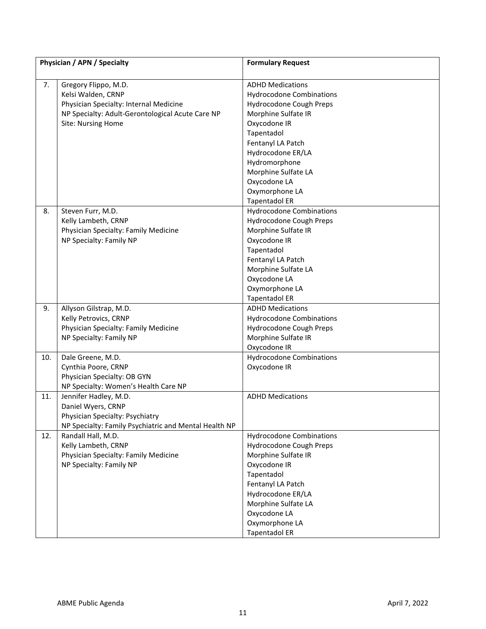|     | Physician / APN / Specialty                                                                                                                                    | <b>Formulary Request</b>                                                                                                                                                                                                                                                               |
|-----|----------------------------------------------------------------------------------------------------------------------------------------------------------------|----------------------------------------------------------------------------------------------------------------------------------------------------------------------------------------------------------------------------------------------------------------------------------------|
| 7.  | Gregory Flippo, M.D.<br>Kelsi Walden, CRNP<br>Physician Specialty: Internal Medicine<br>NP Specialty: Adult-Gerontological Acute Care NP<br>Site: Nursing Home | <b>ADHD Medications</b><br><b>Hydrocodone Combinations</b><br>Hydrocodone Cough Preps<br>Morphine Sulfate IR<br>Oxycodone IR<br>Tapentadol<br>Fentanyl LA Patch<br>Hydrocodone ER/LA<br>Hydromorphone<br>Morphine Sulfate LA<br>Oxycodone LA<br>Oxymorphone LA<br><b>Tapentadol ER</b> |
| 8.  | Steven Furr, M.D.<br>Kelly Lambeth, CRNP<br>Physician Specialty: Family Medicine<br>NP Specialty: Family NP                                                    | <b>Hydrocodone Combinations</b><br>Hydrocodone Cough Preps<br>Morphine Sulfate IR<br>Oxycodone IR<br>Tapentadol<br>Fentanyl LA Patch<br>Morphine Sulfate LA<br>Oxycodone LA<br>Oxymorphone LA<br><b>Tapentadol ER</b>                                                                  |
| 9.  | Allyson Gilstrap, M.D.<br>Kelly Petrovics, CRNP<br>Physician Specialty: Family Medicine<br>NP Specialty: Family NP                                             | <b>ADHD Medications</b><br><b>Hydrocodone Combinations</b><br>Hydrocodone Cough Preps<br>Morphine Sulfate IR<br>Oxycodone IR                                                                                                                                                           |
| 10. | Dale Greene, M.D.<br>Cynthia Poore, CRNP<br>Physician Specialty: OB GYN<br>NP Specialty: Women's Health Care NP                                                | <b>Hydrocodone Combinations</b><br>Oxycodone IR                                                                                                                                                                                                                                        |
| 11. | Jennifer Hadley, M.D.<br>Daniel Wyers, CRNP<br>Physician Specialty: Psychiatry<br>NP Specialty: Family Psychiatric and Mental Health NP                        | <b>ADHD Medications</b>                                                                                                                                                                                                                                                                |
| 12. | Randall Hall, M.D.<br>Kelly Lambeth, CRNP<br>Physician Specialty: Family Medicine<br>NP Specialty: Family NP                                                   | <b>Hydrocodone Combinations</b><br>Hydrocodone Cough Preps<br>Morphine Sulfate IR<br>Oxycodone IR<br>Tapentadol<br>Fentanyl LA Patch<br>Hydrocodone ER/LA<br>Morphine Sulfate LA<br>Oxycodone LA<br>Oxymorphone LA<br><b>Tapentadol ER</b>                                             |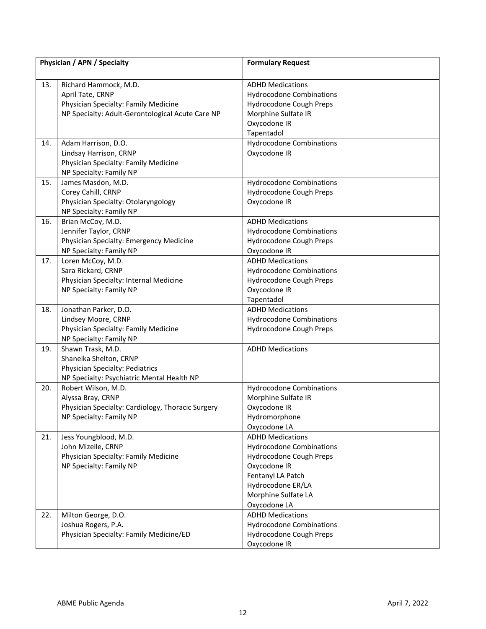|     | Physician / APN / Specialty                                                                                                           | <b>Formulary Request</b>                                                                                                                                                               |
|-----|---------------------------------------------------------------------------------------------------------------------------------------|----------------------------------------------------------------------------------------------------------------------------------------------------------------------------------------|
| 13. | Richard Hammock, M.D.<br>April Tate, CRNP<br>Physician Specialty: Family Medicine<br>NP Specialty: Adult-Gerontological Acute Care NP | <b>ADHD Medications</b><br><b>Hydrocodone Combinations</b><br>Hydrocodone Cough Preps<br>Morphine Sulfate IR<br>Oxycodone IR<br>Tapentadol                                             |
| 14. | Adam Harrison, D.O.<br>Lindsay Harrison, CRNP<br>Physician Specialty: Family Medicine<br>NP Specialty: Family NP                      | <b>Hydrocodone Combinations</b><br>Oxycodone IR                                                                                                                                        |
| 15. | James Masdon, M.D.<br>Corey Cahill, CRNP<br>Physician Specialty: Otolaryngology<br>NP Specialty: Family NP                            | <b>Hydrocodone Combinations</b><br>Hydrocodone Cough Preps<br>Oxycodone IR                                                                                                             |
| 16. | Brian McCoy, M.D.<br>Jennifer Taylor, CRNP<br>Physician Specialty: Emergency Medicine<br>NP Specialty: Family NP                      | <b>ADHD Medications</b><br><b>Hydrocodone Combinations</b><br>Hydrocodone Cough Preps<br>Oxycodone IR                                                                                  |
| 17. | Loren McCoy, M.D.<br>Sara Rickard, CRNP<br>Physician Specialty: Internal Medicine<br>NP Specialty: Family NP                          | <b>ADHD Medications</b><br><b>Hydrocodone Combinations</b><br>Hydrocodone Cough Preps<br>Oxycodone IR<br>Tapentadol                                                                    |
| 18. | Jonathan Parker, D.O.<br>Lindsey Moore, CRNP<br>Physician Specialty: Family Medicine<br>NP Specialty: Family NP                       | <b>ADHD Medications</b><br><b>Hydrocodone Combinations</b><br>Hydrocodone Cough Preps                                                                                                  |
| 19. | Shawn Trask, M.D.<br>Shaneika Shelton, CRNP<br>Physician Specialty: Pediatrics<br>NP Specialty: Psychiatric Mental Health NP          | <b>ADHD Medications</b>                                                                                                                                                                |
| 20. | Robert Wilson, M.D.<br>Alyssa Bray, CRNP<br>Physician Specialty: Cardiology, Thoracic Surgery<br>NP Specialty: Family NP              | <b>Hydrocodone Combinations</b><br>Morphine Sulfate IR<br>Oxycodone IR<br>Hydromorphone<br>Oxycodone LA                                                                                |
| 21. | Jess Youngblood, M.D.<br>John Mizelle, CRNP<br>Physician Specialty: Family Medicine<br>NP Specialty: Family NP                        | <b>ADHD Medications</b><br><b>Hydrocodone Combinations</b><br>Hydrocodone Cough Preps<br>Oxycodone IR<br>Fentanyl LA Patch<br>Hydrocodone ER/LA<br>Morphine Sulfate LA<br>Oxycodone LA |
| 22. | Milton George, D.O.<br>Joshua Rogers, P.A.<br>Physician Specialty: Family Medicine/ED                                                 | <b>ADHD Medications</b><br><b>Hydrocodone Combinations</b><br>Hydrocodone Cough Preps<br>Oxycodone IR                                                                                  |